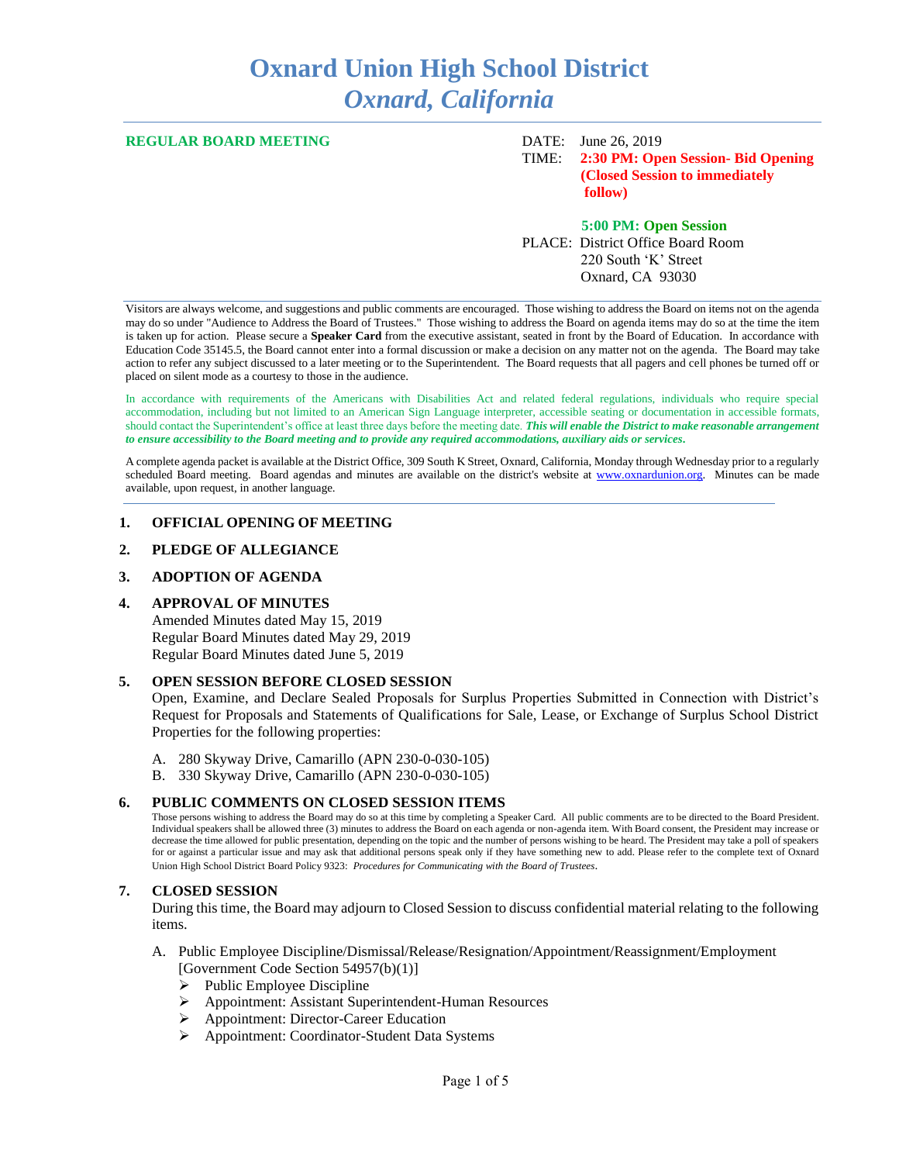# **Oxnard Union High School District** *Oxnard, California*

#### **REGULAR BOARD MEETING** DATE: June 26, 2019

TIME: **2:30 PM: Open Session- Bid Opening (Closed Session to immediately follow)**

**5:00 PM: Open Session** PLACE: District Office Board Room 220 South 'K' Street Oxnard, CA 93030

Visitors are always welcome, and suggestions and public comments are encouraged. Those wishing to address the Board on items not on the agenda may do so under "Audience to Address the Board of Trustees." Those wishing to address the Board on agenda items may do so at the time the item is taken up for action. Please secure a **Speaker Card** from the executive assistant, seated in front by the Board of Education. In accordance with Education Code 35145.5, the Board cannot enter into a formal discussion or make a decision on any matter not on the agenda. The Board may take action to refer any subject discussed to a later meeting or to the Superintendent. The Board requests that all pagers and cell phones be turned off or placed on silent mode as a courtesy to those in the audience.

In accordance with requirements of the Americans with Disabilities Act and related federal regulations, individuals who require special accommodation, including but not limited to an American Sign Language interpreter, accessible seating or documentation in accessible formats, should contact the Superintendent's office at least three days before the meeting date. *This will enable the District to make reasonable arrangement to ensure accessibility to the Board meeting and to provide any required accommodations, auxiliary aids or services.* 

A complete agenda packet is available at the District Office, 309 South K Street, Oxnard, California, Monday through Wednesday prior to a regularly scheduled Board meeting. Board agendas and minutes are available on the district's website at [www.ox](http://www.o/)nardunion.org.Minutes can be made available, upon request, in another language.

#### **1. OFFICIAL OPENING OF MEETING**

## **2. PLEDGE OF ALLEGIANCE**

#### **3. ADOPTION OF AGENDA**

#### **4. APPROVAL OF MINUTES**

Amended Minutes dated May 15, 2019 Regular Board Minutes dated May 29, 2019 Regular Board Minutes dated June 5, 2019

#### **5. OPEN SESSION BEFORE CLOSED SESSION**

Open, Examine, and Declare Sealed Proposals for Surplus Properties Submitted in Connection with District's Request for Proposals and Statements of Qualifications for Sale, Lease, or Exchange of Surplus School District Properties for the following properties:

A. 280 Skyway Drive, Camarillo (APN 230-0-030-105)

B. 330 Skyway Drive, Camarillo (APN 230-0-030-105)

#### **6. PUBLIC COMMENTS ON CLOSED SESSION ITEMS**

Those persons wishing to address the Board may do so at this time by completing a Speaker Card. All public comments are to be directed to the Board President. Individual speakers shall be allowed three (3) minutes to address the Board on each agenda or non-agenda item. With Board consent, the President may increase or decrease the time allowed for public presentation, depending on the topic and the number of persons wishing to be heard. The President may take a poll of speakers for or against a particular issue and may ask that additional persons speak only if they have something new to add. Please refer to the complete text of Oxnard Union High School District Board Policy 9323: *Procedures for Communicating with the Board of Trustees*.

#### **7. CLOSED SESSION**

During this time, the Board may adjourn to Closed Session to discuss confidential material relating to the following items.

- A. Public Employee Discipline/Dismissal/Release/Resignation/Appointment/Reassignment/Employment [Government Code Section 54957(b)(1)]
	- $\triangleright$  Public Employee Discipline
	- ➢ Appointment: Assistant Superintendent-Human Resources
	- ➢ Appointment: Director-Career Education
	- ➢ Appointment: Coordinator-Student Data Systems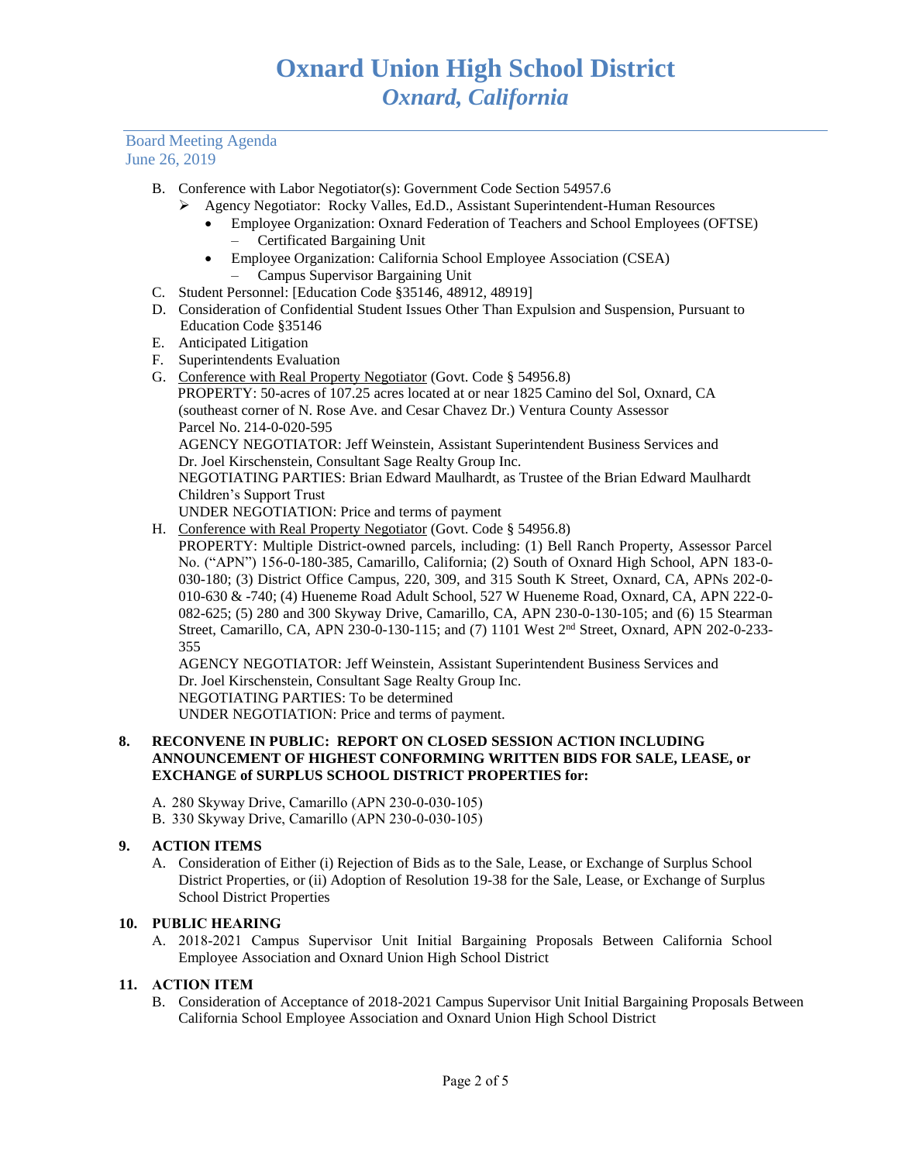- B. Conference with Labor Negotiator(s): Government Code Section 54957.6
	- ➢ Agency Negotiator: Rocky Valles, Ed.D., Assistant Superintendent-Human Resources
		- Employee Organization: Oxnard Federation of Teachers and School Employees (OFTSE) – Certificated Bargaining Unit
		- Employee Organization: California School Employee Association (CSEA) – Campus Supervisor Bargaining Unit
- C. Student Personnel: [Education Code §35146, 48912, 48919]
- D. Consideration of Confidential Student Issues Other Than Expulsion and Suspension, Pursuant to Education Code §35146
- E. Anticipated Litigation
- F. Superintendents Evaluation
- G. Conference with Real Property Negotiator (Govt. Code § 54956.8) PROPERTY: 50-acres of 107.25 acres located at or near 1825 Camino del Sol, Oxnard, CA (southeast corner of N. Rose Ave. and Cesar Chavez Dr.) Ventura County Assessor Parcel No. 214-0-020-595 AGENCY NEGOTIATOR: Jeff Weinstein, Assistant Superintendent Business Services and Dr. Joel Kirschenstein, Consultant Sage Realty Group Inc. NEGOTIATING PARTIES: Brian Edward Maulhardt, as Trustee of the Brian Edward Maulhardt Children's Support Trust UNDER NEGOTIATION: Price and terms of payment
- H. Conference with Real Property Negotiator (Govt. Code § 54956.8)

PROPERTY: Multiple District-owned parcels, including: (1) Bell Ranch Property, Assessor Parcel No. ("APN") 156-0-180-385, Camarillo, California; (2) South of Oxnard High School, APN 183-0- 030-180; (3) District Office Campus, 220, 309, and 315 South K Street, Oxnard, CA, APNs 202-0- 010-630 & -740; (4) Hueneme Road Adult School, 527 W Hueneme Road, Oxnard, CA, APN 222-0- 082-625; (5) 280 and 300 Skyway Drive, Camarillo, CA, APN 230-0-130-105; and (6) 15 Stearman Street, Camarillo, CA, APN 230-0-130-115; and (7) 1101 West 2nd Street, Oxnard, APN 202-0-233- 355

AGENCY NEGOTIATOR: Jeff Weinstein, Assistant Superintendent Business Services and Dr. Joel Kirschenstein, Consultant Sage Realty Group Inc. NEGOTIATING PARTIES: To be determined UNDER NEGOTIATION: Price and terms of payment.

# **8. RECONVENE IN PUBLIC: REPORT ON CLOSED SESSION ACTION INCLUDING ANNOUNCEMENT OF HIGHEST CONFORMING WRITTEN BIDS FOR SALE, LEASE, or EXCHANGE of SURPLUS SCHOOL DISTRICT PROPERTIES for:**

A. 280 Skyway Drive, Camarillo (APN 230-0-030-105)

B. 330 Skyway Drive, Camarillo (APN 230-0-030-105)

# **9. ACTION ITEMS**

A. Consideration of Either (i) Rejection of Bids as to the Sale, Lease, or Exchange of Surplus School District Properties, or (ii) Adoption of Resolution 19-38 for the Sale, Lease, or Exchange of Surplus School District Properties

# **10. PUBLIC HEARING**

A. 2018-2021 Campus Supervisor Unit Initial Bargaining Proposals Between California School Employee Association and Oxnard Union High School District

# **11. ACTION ITEM**

B. Consideration of Acceptance of 2018-2021 Campus Supervisor Unit Initial Bargaining Proposals Between California School Employee Association and Oxnard Union High School District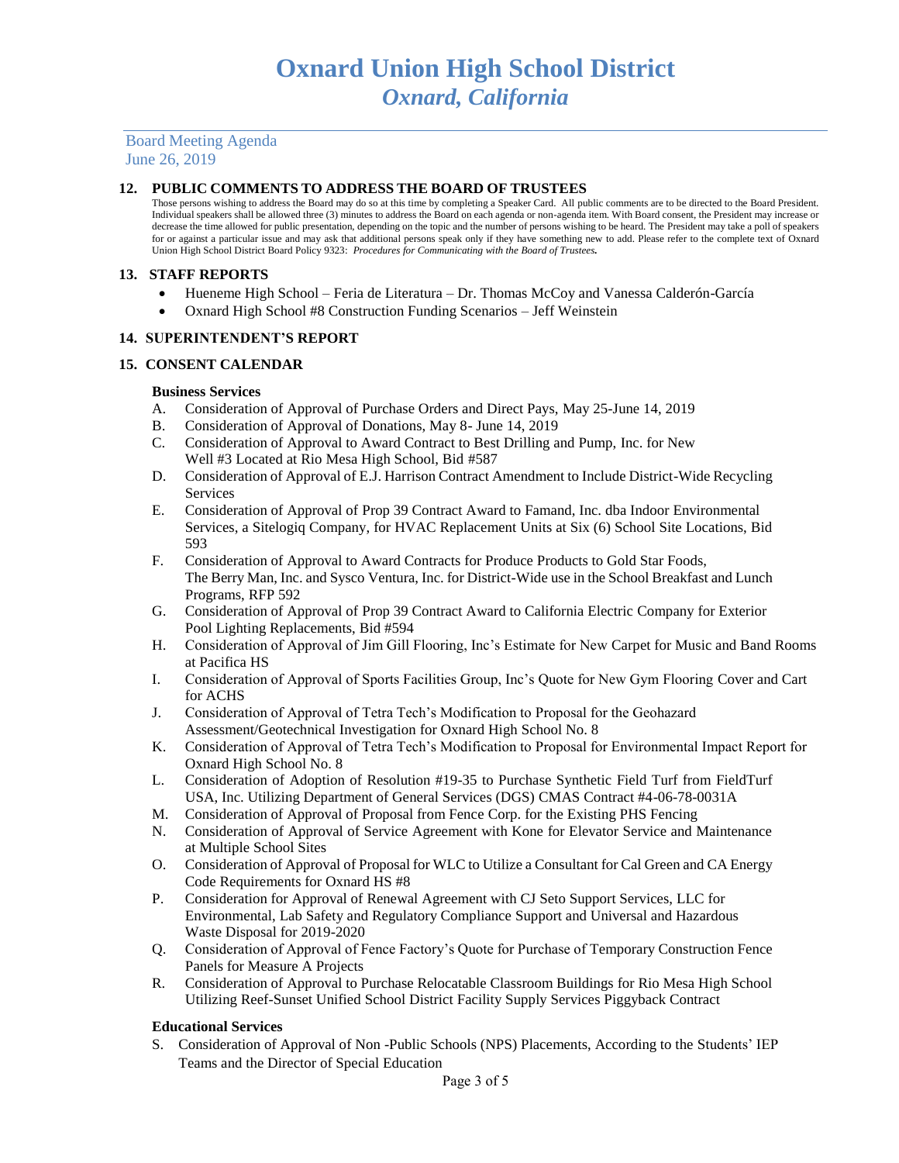# **12. PUBLIC COMMENTS TO ADDRESS THE BOARD OF TRUSTEES**

Those persons wishing to address the Board may do so at this time by completing a Speaker Card. All public comments are to be directed to the Board President. Individual speakers shall be allowed three (3) minutes to address the Board on each agenda or non-agenda item. With Board consent, the President may increase or decrease the time allowed for public presentation, depending on the topic and the number of persons wishing to be heard. The President may take a poll of speakers for or against a particular issue and may ask that additional persons speak only if they have something new to add. Please refer to the complete text of Oxnard Union High School District Board Policy 9323: *Procedures for Communicating with the Board of Trustees.*

# **13. STAFF REPORTS**

- Hueneme High School Feria de Literatura Dr. Thomas McCoy and Vanessa Calderón-García
- Oxnard High School #8 Construction Funding Scenarios Jeff Weinstein

# **14. SUPERINTENDENT'S REPORT**

# **15. CONSENT CALENDAR**

#### **Business Services**

- A. Consideration of Approval of Purchase Orders and Direct Pays, May 25-June 14, 2019
- B. Consideration of Approval of Donations, May 8- June 14, 2019
- C. Consideration of Approval to Award Contract to Best Drilling and Pump, Inc. for New Well #3 Located at Rio Mesa High School, Bid #587
- D. Consideration of Approval of E.J. Harrison Contract Amendment to Include District-Wide Recycling Services
- E. Consideration of Approval of Prop 39 Contract Award to Famand, Inc. dba Indoor Environmental Services, a Sitelogiq Company, for HVAC Replacement Units at Six (6) School Site Locations, Bid 593
- F. Consideration of Approval to Award Contracts for Produce Products to Gold Star Foods, The Berry Man, Inc. and Sysco Ventura, Inc. for District-Wide use in the School Breakfast and Lunch Programs, RFP 592
- G. Consideration of Approval of Prop 39 Contract Award to California Electric Company for Exterior Pool Lighting Replacements, Bid #594
- H. Consideration of Approval of Jim Gill Flooring, Inc's Estimate for New Carpet for Music and Band Rooms at Pacifica HS
- I. Consideration of Approval of Sports Facilities Group, Inc's Quote for New Gym Flooring Cover and Cart for ACHS
- J. Consideration of Approval of Tetra Tech's Modification to Proposal for the Geohazard Assessment/Geotechnical Investigation for Oxnard High School No. 8
- K. Consideration of Approval of Tetra Tech's Modification to Proposal for Environmental Impact Report for Oxnard High School No. 8
- L. Consideration of Adoption of Resolution #19-35 to Purchase Synthetic Field Turf from FieldTurf USA, Inc. Utilizing Department of General Services (DGS) CMAS Contract #4-06-78-0031A
- M. Consideration of Approval of Proposal from Fence Corp. for the Existing PHS Fencing
- N. Consideration of Approval of Service Agreement with Kone for Elevator Service and Maintenance at Multiple School Sites
- O. Consideration of Approval of Proposal for WLC to Utilize a Consultant for Cal Green and CA Energy Code Requirements for Oxnard HS #8
- P. Consideration for Approval of Renewal Agreement with CJ Seto Support Services, LLC for Environmental, Lab Safety and Regulatory Compliance Support and Universal and Hazardous Waste Disposal for 2019-2020
- Q. Consideration of Approval of Fence Factory's Quote for Purchase of Temporary Construction Fence Panels for Measure A Projects
- R. Consideration of Approval to Purchase Relocatable Classroom Buildings for Rio Mesa High School Utilizing Reef-Sunset Unified School District Facility Supply Services Piggyback Contract

# **Educational Services**

S. Consideration of Approval of Non -Public Schools (NPS) Placements, According to the Students' IEP Teams and the Director of Special Education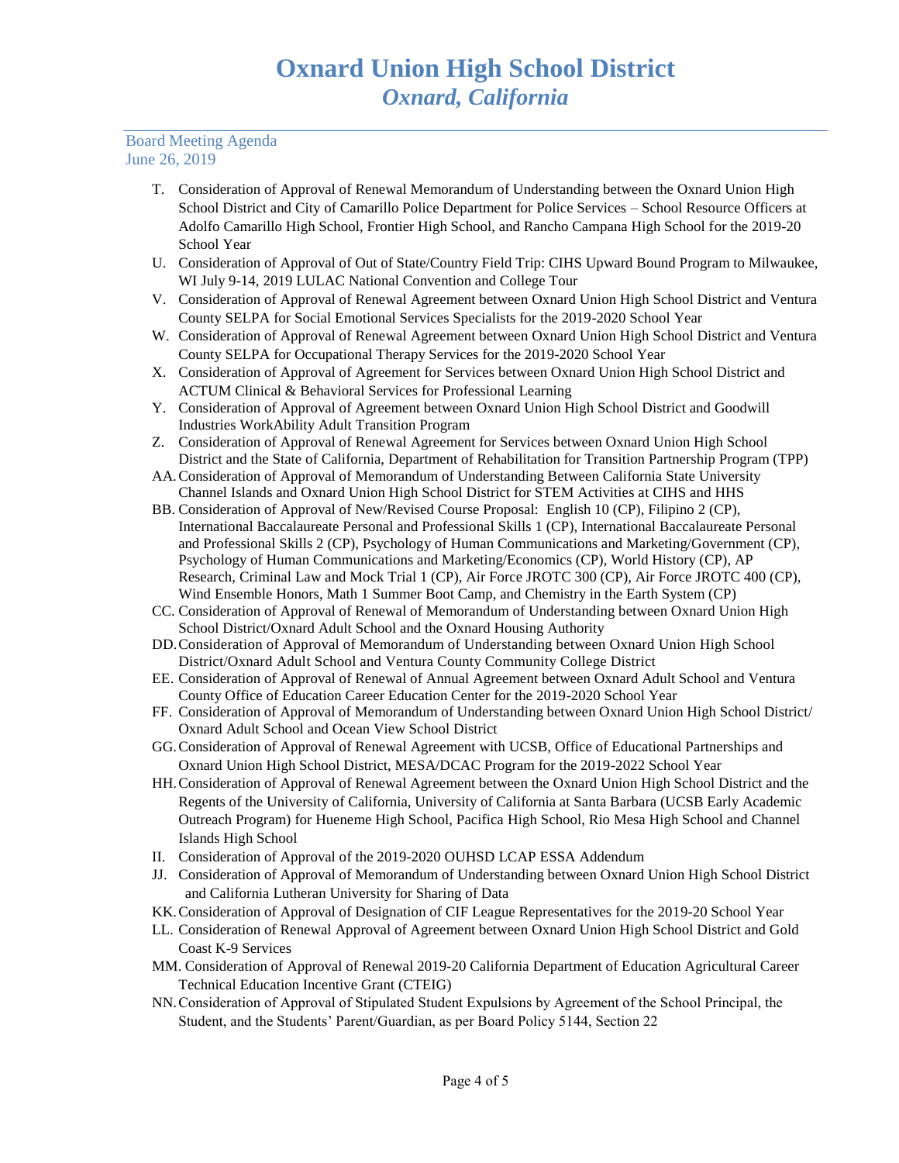- T. Consideration of Approval of Renewal Memorandum of Understanding between the Oxnard Union High School District and City of Camarillo Police Department for Police Services – School Resource Officers at Adolfo Camarillo High School, Frontier High School, and Rancho Campana High School for the 2019-20 School Year
- U. Consideration of Approval of Out of State/Country Field Trip: CIHS Upward Bound Program to Milwaukee, WI July 9-14, 2019 LULAC National Convention and College Tour
- V. Consideration of Approval of Renewal Agreement between Oxnard Union High School District and Ventura County SELPA for Social Emotional Services Specialists for the 2019-2020 School Year
- W. Consideration of Approval of Renewal Agreement between Oxnard Union High School District and Ventura County SELPA for Occupational Therapy Services for the 2019-2020 School Year
- X. Consideration of Approval of Agreement for Services between Oxnard Union High School District and ACTUM Clinical & Behavioral Services for Professional Learning
- Y. Consideration of Approval of Agreement between Oxnard Union High School District and Goodwill Industries WorkAbility Adult Transition Program
- Z. Consideration of Approval of Renewal Agreement for Services between Oxnard Union High School District and the State of California, Department of Rehabilitation for Transition Partnership Program (TPP)
- AA.Consideration of Approval of Memorandum of Understanding Between California State University Channel Islands and Oxnard Union High School District for STEM Activities at CIHS and HHS
- BB. Consideration of Approval of New/Revised Course Proposal: English 10 (CP), Filipino 2 (CP), International Baccalaureate Personal and Professional Skills 1 (CP), International Baccalaureate Personal and Professional Skills 2 (CP), Psychology of Human Communications and Marketing/Government (CP), Psychology of Human Communications and Marketing/Economics (CP), World History (CP), AP Research, Criminal Law and Mock Trial 1 (CP), Air Force JROTC 300 (CP), Air Force JROTC 400 (CP), Wind Ensemble Honors, Math 1 Summer Boot Camp, and Chemistry in the Earth System (CP)
- CC. Consideration of Approval of Renewal of Memorandum of Understanding between Oxnard Union High School District/Oxnard Adult School and the Oxnard Housing Authority
- DD.Consideration of Approval of Memorandum of Understanding between Oxnard Union High School District/Oxnard Adult School and Ventura County Community College District
- EE. Consideration of Approval of Renewal of Annual Agreement between Oxnard Adult School and Ventura County Office of Education Career Education Center for the 2019-2020 School Year
- FF. Consideration of Approval of Memorandum of Understanding between Oxnard Union High School District/ Oxnard Adult School and Ocean View School District
- GG.Consideration of Approval of Renewal Agreement with UCSB, Office of Educational Partnerships and Oxnard Union High School District, MESA/DCAC Program for the 2019-2022 School Year
- HH.Consideration of Approval of Renewal Agreement between the Oxnard Union High School District and the Regents of the University of California, University of California at Santa Barbara (UCSB Early Academic Outreach Program) for Hueneme High School, Pacifica High School, Rio Mesa High School and Channel Islands High School
- II. Consideration of Approval of the 2019-2020 OUHSD LCAP ESSA Addendum
- JJ. Consideration of Approval of Memorandum of Understanding between Oxnard Union High School District and California Lutheran University for Sharing of Data
- KK.Consideration of Approval of Designation of CIF League Representatives for the 2019-20 School Year
- LL. Consideration of Renewal Approval of Agreement between Oxnard Union High School District and Gold Coast K-9 Services
- MM. Consideration of Approval of Renewal 2019-20 California Department of Education Agricultural Career Technical Education Incentive Grant (CTEIG)
- NN.Consideration of Approval of Stipulated Student Expulsions by Agreement of the School Principal, the Student, and the Students' Parent/Guardian, as per Board Policy 5144, Section 22